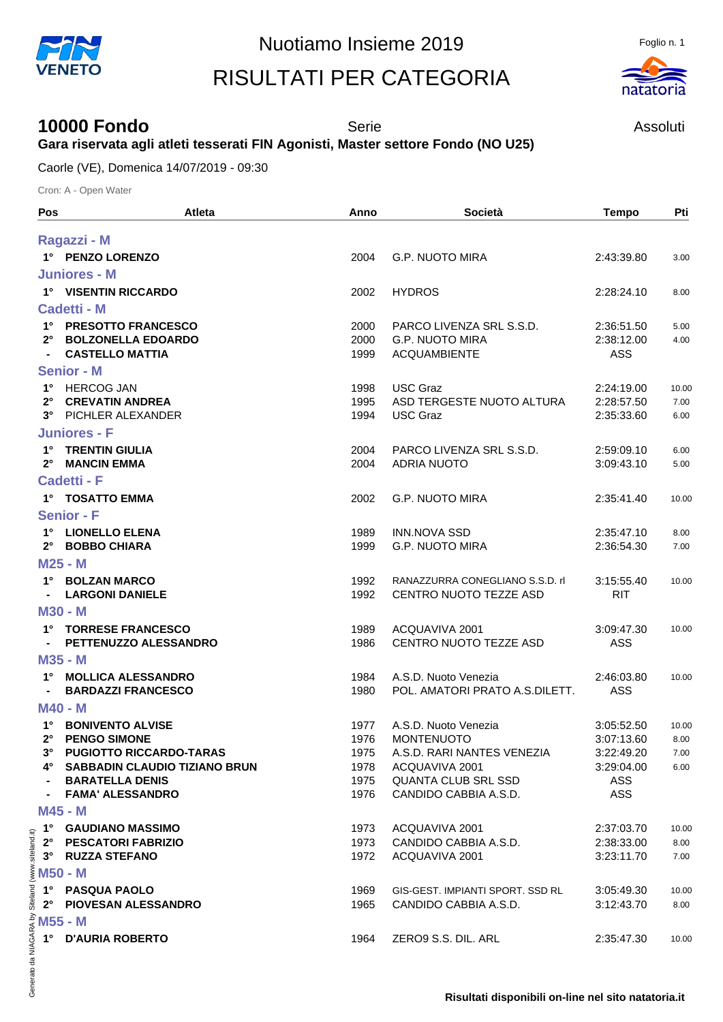## RISULTATI PER CATEGORIA



## **10000 Fondo** Serie Serie Assoluti

**Gara riservata agli atleti tesserati FIN Agonisti, Master settore Fondo (NO U25)**

Caorle (VE), Domenica 14/07/2019 - 09:30

Cron: A - Open Water

| Pos                                    | <b>Atleta</b>                                                                                                                                                                                                                                              | Anno         | Società                                                   | <b>Tempo</b>             | Pti           |
|----------------------------------------|------------------------------------------------------------------------------------------------------------------------------------------------------------------------------------------------------------------------------------------------------------|--------------|-----------------------------------------------------------|--------------------------|---------------|
|                                        | Ragazzi - M                                                                                                                                                                                                                                                |              |                                                           |                          |               |
|                                        | 1° PENZO LORENZO                                                                                                                                                                                                                                           | 2004         | <b>G.P. NUOTO MIRA</b>                                    | 2:43:39.80               | 3.00          |
|                                        | Juniores - M                                                                                                                                                                                                                                               |              |                                                           |                          |               |
| $1^{\circ}$                            | <b>VISENTIN RICCARDO</b>                                                                                                                                                                                                                                   | 2002         | <b>HYDROS</b>                                             | 2:28:24.10               | 8.00          |
|                                        | <b>Cadetti - M</b>                                                                                                                                                                                                                                         |              |                                                           |                          |               |
| $1^{\circ}$                            | <b>PRESOTTO FRANCESCO</b>                                                                                                                                                                                                                                  | 2000         | PARCO LIVENZA SRL S.S.D.                                  | 2:36:51.50               | 5.00          |
| $2^{\circ}$                            | <b>BOLZONELLA EDOARDO</b>                                                                                                                                                                                                                                  | 2000         | <b>G.P. NUOTO MIRA</b>                                    | 2:38:12.00               | 4.00          |
|                                        | <b>CASTELLO MATTIA</b>                                                                                                                                                                                                                                     | 1999         | <b>ACQUAMBIENTE</b>                                       | <b>ASS</b>               |               |
|                                        | <b>Senior - M</b>                                                                                                                                                                                                                                          |              |                                                           |                          |               |
| $1^{\circ}$                            | <b>HERCOG JAN</b>                                                                                                                                                                                                                                          | 1998         | <b>USC Graz</b>                                           | 2:24:19.00               | 10.00         |
| $2^{\circ}$                            | <b>CREVATIN ANDREA</b>                                                                                                                                                                                                                                     | 1995         | ASD TERGESTE NUOTO ALTURA                                 | 2:28:57.50               | 7.00          |
| $3^\circ$                              | PICHLER ALEXANDER                                                                                                                                                                                                                                          | 1994         | <b>USC Graz</b>                                           | 2:35:33.60               | 6.00          |
|                                        | <b>Juniores - F</b>                                                                                                                                                                                                                                        |              |                                                           |                          |               |
| 1°                                     | <b>TRENTIN GIULIA</b>                                                                                                                                                                                                                                      | 2004         | PARCO LIVENZA SRL S.S.D.                                  | 2:59:09.10               | 6.00          |
| $2^{\circ}$                            | <b>MANCIN EMMA</b>                                                                                                                                                                                                                                         | 2004         | <b>ADRIA NUOTO</b>                                        | 3:09:43.10               | 5.00          |
|                                        | Cadetti - F                                                                                                                                                                                                                                                |              |                                                           |                          |               |
|                                        | 1° TOSATTO EMMA                                                                                                                                                                                                                                            | 2002         | <b>G.P. NUOTO MIRA</b>                                    | 2:35:41.40               | 10.00         |
|                                        | <b>Senior - F</b>                                                                                                                                                                                                                                          |              |                                                           |                          |               |
| $1^{\circ}$                            | <b>LIONELLO ELENA</b>                                                                                                                                                                                                                                      | 1989         | <b>INN.NOVA SSD</b>                                       | 2:35:47.10               | 8.00          |
| $2^{\circ}$                            | <b>BOBBO CHIARA</b>                                                                                                                                                                                                                                        | 1999         | <b>G.P. NUOTO MIRA</b>                                    | 2:36:54.30               | 7.00          |
|                                        | M25 - M                                                                                                                                                                                                                                                    |              |                                                           |                          |               |
| $1^{\circ}$                            | <b>BOLZAN MARCO</b>                                                                                                                                                                                                                                        | 1992         | RANAZZURRA CONEGLIANO S.S.D. rl                           | 3:15:55.40               | 10.00         |
|                                        | <b>LARGONI DANIELE</b>                                                                                                                                                                                                                                     | 1992         | CENTRO NUOTO TEZZE ASD                                    | <b>RIT</b>               |               |
|                                        | <b>M30 - M</b>                                                                                                                                                                                                                                             |              |                                                           |                          |               |
| $1^{\circ}$<br>$\blacksquare$          | <b>TORRESE FRANCESCO</b><br>PETTENUZZO ALESSANDRO                                                                                                                                                                                                          | 1989<br>1986 | ACQUAVIVA 2001                                            | 3:09:47.30<br>ASS        | 10.00         |
|                                        |                                                                                                                                                                                                                                                            |              | CENTRO NUOTO TEZZE ASD                                    |                          |               |
|                                        | <b>M35 - M</b>                                                                                                                                                                                                                                             |              |                                                           |                          |               |
| 1°                                     | <b>MOLLICA ALESSANDRO</b><br><b>BARDAZZI FRANCESCO</b>                                                                                                                                                                                                     | 1984<br>1980 | A.S.D. Nuoto Venezia<br>POL. AMATORI PRATO A.S.DILETT.    | 2:46:03.80<br>ASS        | 10.00         |
|                                        | <b>M40 - M</b>                                                                                                                                                                                                                                             |              |                                                           |                          |               |
| $1^{\circ}$                            | <b>BONIVENTO ALVISE</b>                                                                                                                                                                                                                                    | 1977         | A.S.D. Nuoto Venezia                                      | 3:05:52.50               | 10.00         |
| $2^{\circ}$                            | <b>PENGO SIMONE</b>                                                                                                                                                                                                                                        | 1976         | <b>MONTENUOTO</b>                                         | 3:07:13.60               | 8.00          |
| $3^\circ$                              | <b>PUGIOTTO RICCARDO-TARAS</b>                                                                                                                                                                                                                             | 1975         | A.S.D. RARI NANTES VENEZIA                                | 3:22:49.20               | 7.00          |
| 4°                                     | <b>SABBADIN CLAUDIO TIZIANO BRUN</b>                                                                                                                                                                                                                       | 1978         | ACQUAVIVA 2001                                            | 3:29:04.00               | 6.00          |
|                                        | <b>BARATELLA DENIS</b>                                                                                                                                                                                                                                     | 1975         | <b>QUANTA CLUB SRL SSD</b>                                | ASS                      |               |
| $\blacksquare$                         | <b>FAMA' ALESSANDRO</b>                                                                                                                                                                                                                                    | 1976         | CANDIDO CABBIA A.S.D.                                     | ASS                      |               |
|                                        | M45 - M                                                                                                                                                                                                                                                    |              |                                                           |                          |               |
| $1^{\circ}$                            | <b>GAUDIANO MASSIMO</b>                                                                                                                                                                                                                                    | 1973         | ACQUAVIVA 2001                                            | 2:37:03.70               | 10.00         |
| .siteland.it)<br>$2^{\circ}$           | <b>PESCATORI FABRIZIO</b><br><b>RUZZA STEFANO</b>                                                                                                                                                                                                          | 1973<br>1972 | CANDIDO CABBIA A.S.D.<br>ACQUAVIVA 2001                   | 2:38:33.00<br>3:23:11.70 | 8.00          |
| $3^\circ$                              |                                                                                                                                                                                                                                                            |              |                                                           |                          | 7.00          |
| $\frac{2}{3}$ M50 - M                  |                                                                                                                                                                                                                                                            |              |                                                           |                          |               |
| Siteland<br>$1^{\circ}$<br>$2^{\circ}$ | <b>PASQUA PAOLO</b><br><b>PIOVESAN ALESSANDRO</b>                                                                                                                                                                                                          | 1969<br>1965 | GIS-GEST. IMPIANTI SPORT. SSD RL<br>CANDIDO CABBIA A.S.D. | 3:05:49.30<br>3:12:43.70 | 10.00<br>8.00 |
|                                        |                                                                                                                                                                                                                                                            |              |                                                           |                          |               |
|                                        |                                                                                                                                                                                                                                                            |              | ZERO9 S.S. DIL. ARL                                       |                          |               |
|                                        | $M = 5 - M$<br>$M = 5 - M$<br>$M = 1$<br>$M = 1$<br>$M = 1$<br>$M = 1$<br>$M = 1$<br>$M = 1$<br>$M = 1$<br>$M = 1$<br>$M = 1$<br>$M = 1$<br>$M = 1$<br>$M = 1$<br>$M = 1$<br>$M = 1$<br>$M = 1$<br>$M = 1$<br>$M = 1$<br>$M = 1$<br><b>D'AURIA ROBERTO</b> | 1964         |                                                           | 2:35:47.30               | 10.00         |
|                                        |                                                                                                                                                                                                                                                            |              |                                                           |                          |               |
|                                        |                                                                                                                                                                                                                                                            |              |                                                           |                          |               |
|                                        |                                                                                                                                                                                                                                                            |              | Risultati disponibili on-line nel sito natatoria it       |                          |               |